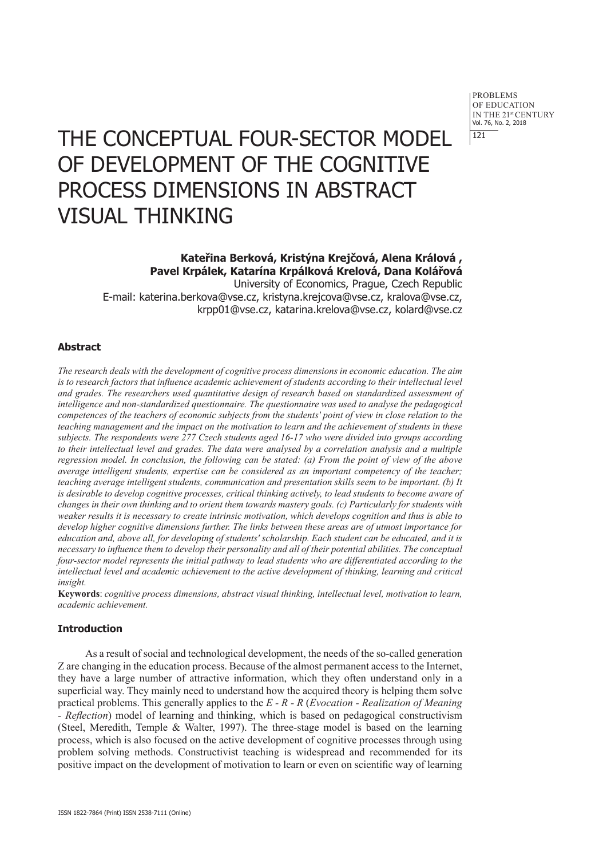**PROBLEMS** OF EDUCATION IN THE 21st CENTURY Vol. 76, No. 2, 2018 121

# THE CONCEPTUAL FOUR-SECTOR MODEL OF DEVELOPMENT OF THE COGNITIVE PROCESS DIMENSIONS IN ABSTRACT VISUAL THINKING

**Kateřina Berková, Kristýna Krejčová, Alena Králová , Pavel Krpálek, Katarína Krpálková Krelová, Dana Kolářová** University of Economics, Prague, Czech Republic E-mail: katerina.berkova@vse.cz, kristyna.krejcova@vse.cz, kralova@vse.cz, krpp01@vse.cz, katarina.krelova@vse.cz, kolard@vse.cz

### **Abstract**

*The research deals with the development of cognitive process dimensions in economic education. The aim is to research factors that influence academic achievement of students according to their intellectual level and grades. The researchers used quantitative design of research based on standardized assessment of intelligence and non-standardized questionnaire. The questionnaire was used to analyse the pedagogical competences of the teachers of economic subjects from the students' point of view in close relation to the teaching management and the impact on the motivation to learn and the achievement of students in these subjects. The respondents were 277 Czech students aged 16-17 who were divided into groups according to their intellectual level and grades. The data were analysed by a correlation analysis and a multiple regression model. In conclusion, the following can be stated: (a) From the point of view of the above average intelligent students, expertise can be considered as an important competency of the teacher; teaching average intelligent students, communication and presentation skills seem to be important. (b) It is desirable to develop cognitive processes, critical thinking actively, to lead students to become aware of changes in their own thinking and to orient them towards mastery goals. (c) Particularly for students with weaker results it is necessary to create intrinsic motivation, which develops cognition and thus is able to develop higher cognitive dimensions further. The links between these areas are of utmost importance for education and, above all, for developing of students' scholarship. Each student can be educated, and it is necessary to influence them to develop their personality and all of their potential abilities. The conceptual four-sector model represents the initial pathway to lead students who are differentiated according to the intellectual level and academic achievement to the active development of thinking, learning and critical insight.*

**Keywords**: *cognitive process dimensions, abstract visual thinking, intellectual level, motivation to learn, academic achievement.*

### **Introduction**

As a result of social and technological development, the needs of the so-called generation Z are changing in the education process. Because of the almost permanent access to the Internet, they have a large number of attractive information, which they often understand only in a superficial way. They mainly need to understand how the acquired theory is helping them solve practical problems. This generally applies to the *E - R - R* (*Evocation - Realization of Meaning - Reflection*) model of learning and thinking, which is based on pedagogical constructivism (Steel, Meredith, Temple & Walter, 1997). The three-stage model is based on the learning process, which is also focused on the active development of cognitive processes through using problem solving methods. Constructivist teaching is widespread and recommended for its positive impact on the development of motivation to learn or even on scientific way of learning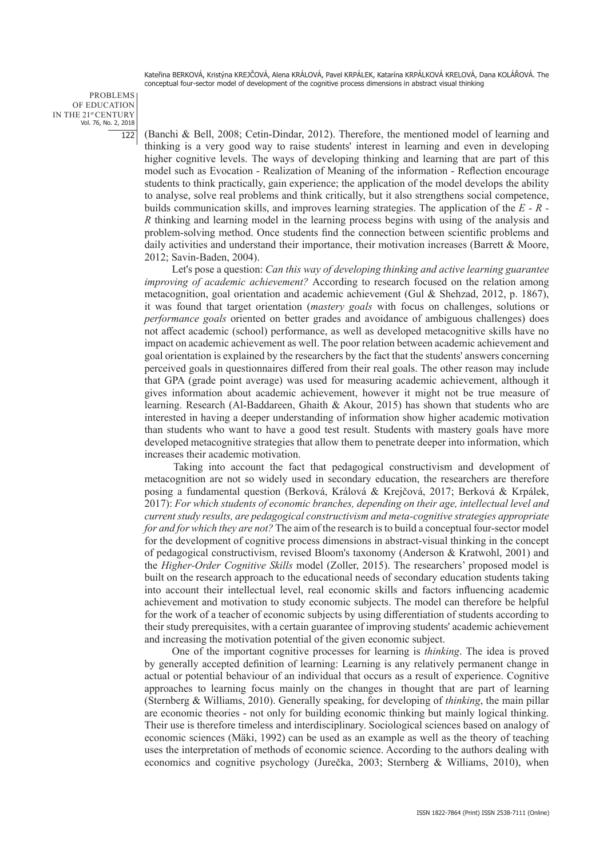PROBLEMS OF EDUCATION IN THE 21st CENTURY Vol. 76, No. 2, 2018 122

(Banchi & Bell, 2008; Cetin-Dindar, 2012). Therefore, the mentioned model of learning and thinking is a very good way to raise students' interest in learning and even in developing higher cognitive levels. The ways of developing thinking and learning that are part of this model such as Evocation - Realization of Meaning of the information - Reflection encourage students to think practically, gain experience; the application of the model develops the ability to analyse, solve real problems and think critically, but it also strengthens social competence, builds communication skills, and improves learning strategies. The application of the *E - R - R* thinking and learning model in the learning process begins with using of the analysis and problem-solving method. Once students find the connection between scientific problems and daily activities and understand their importance, their motivation increases (Barrett & Moore, 2012; Savin-Baden, 2004).

Let's pose a question: *Can this way of developing thinking and active learning guarantee improving of academic achievement?* According to research focused on the relation among metacognition, goal orientation and academic achievement (Gul & Shehzad, 2012, p. 1867), it was found that target orientation (*mastery goals* with focus on challenges, solutions or *performance goals* oriented on better grades and avoidance of ambiguous challenges) does not affect academic (school) performance, as well as developed metacognitive skills have no impact on academic achievement as well. The poor relation between academic achievement and goal orientation is explained by the researchers by the fact that the students' answers concerning perceived goals in questionnaires differed from their real goals. The other reason may include that GPA (grade point average) was used for measuring academic achievement, although it gives information about academic achievement, however it might not be true measure of learning. Research (Al-Baddareen, Ghaith & Akour, 2015) has shown that students who are interested in having a deeper understanding of information show higher academic motivation than students who want to have a good test result. Students with mastery goals have more developed metacognitive strategies that allow them to penetrate deeper into information, which increases their academic motivation.

Taking into account the fact that pedagogical constructivism and development of metacognition are not so widely used in secondary education, the researchers are therefore posing a fundamental question (Berková, Králová & Krejčová, 2017; Berková & Krpálek, 2017): *For which students of economic branches, depending on their age, intellectual level and current study results, are pedagogical constructivism and meta-cognitive strategies appropriate for and for which they are not?* The aim of the research is to build a conceptual four-sector model for the development of cognitive process dimensions in abstract-visual thinking in the concept of pedagogical constructivism, revised Bloom's taxonomy (Anderson & Kratwohl, 2001) and the *Higher-Order Cognitive Skills* model (Zoller, 2015). The researchers' proposed model is built on the research approach to the educational needs of secondary education students taking into account their intellectual level, real economic skills and factors influencing academic achievement and motivation to study economic subjects. The model can therefore be helpful for the work of a teacher of economic subjects by using differentiation of students according to their study prerequisites, with a certain guarantee of improving students' academic achievement and increasing the motivation potential of the given economic subject.

One of the important cognitive processes for learning is *thinking*. The idea is proved by generally accepted definition of learning: Learning is any relatively permanent change in actual or potential behaviour of an individual that occurs as a result of experience. Cognitive approaches to learning focus mainly on the changes in thought that are part of learning (Sternberg & Williams, 2010). Generally speaking, for developing of *thinking*, the main pillar are economic theories - not only for building economic thinking but mainly logical thinking. Their use is therefore timeless and interdisciplinary. Sociological sciences based on analogy of economic sciences (Mäki, 1992) can be used as an example as well as the theory of teaching uses the interpretation of methods of economic science. According to the authors dealing with economics and cognitive psychology (Jurečka, 2003; Sternberg & Williams, 2010), when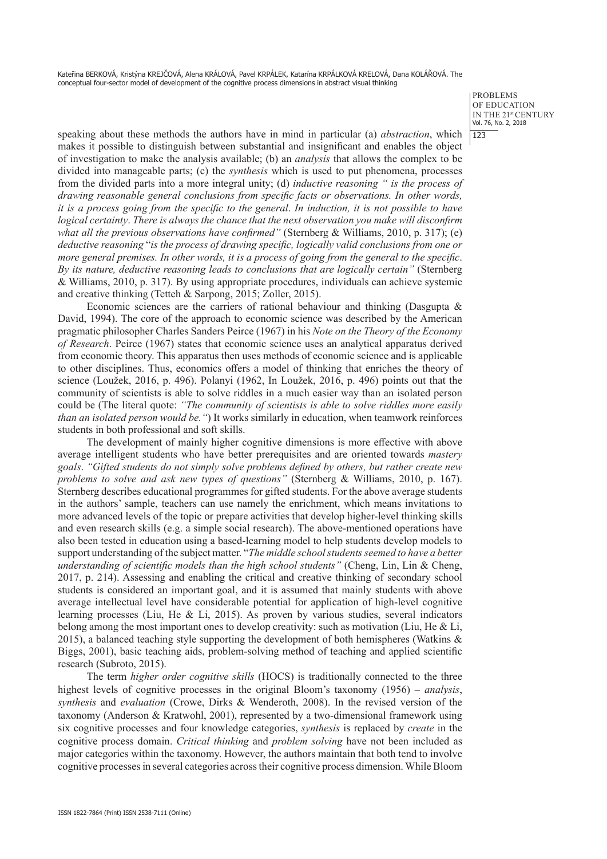> **PROBLEMS** OF EDUCATION IN THE 21st CENTURY Vol. 76, No. 2, 2018  $1123$

speaking about these methods the authors have in mind in particular (a) *abstraction*, which makes it possible to distinguish between substantial and insignificant and enables the object of investigation to make the analysis available; (b) an *analysis* that allows the complex to be divided into manageable parts; (c) the *synthesis* which is used to put phenomena, processes from the divided parts into a more integral unity; (d) *inductive reasoning " is the process of drawing reasonable general conclusions from specific facts or observations. In other words, it is a process going from the specific to the general*. *In induction, it is not possible to have logical certainty*. *There is always the chance that the next observation you make will disconfirm what all the previous observations have confirmed"* (Sternberg & Williams, 2010, p. 317); (e) *deductive reasoning* "*is the process of drawing specific, logically valid conclusions from one or more general premises. In other words, it is a process of going from the general to the specific*. *By its nature, deductive reasoning leads to conclusions that are logically certain"* (Sternberg & Williams, 2010, p. 317). By using appropriate procedures, individuals can achieve systemic and creative thinking (Tetteh & Sarpong, 2015; Zoller, 2015).

Economic sciences are the carriers of rational behaviour and thinking (Dasgupta  $\&$ David, 1994). The core of the approach to economic science was described by the American pragmatic philosopher Charles Sanders Peirce (1967) in his *Note on the Theory of the Economy of Research*. Peirce (1967) states that economic science uses an analytical apparatus derived from economic theory. This apparatus then uses methods of economic science and is applicable to other disciplines. Thus, economics offers a model of thinking that enriches the theory of science (Loužek, 2016, p. 496). Polanyi (1962, In Loužek, 2016, p. 496) points out that the community of scientists is able to solve riddles in a much easier way than an isolated person could be (The literal quote: *"The community of scientists is able to solve riddles more easily than an isolated person would be."*) It works similarly in education, when teamwork reinforces students in both professional and soft skills.

The development of mainly higher cognitive dimensions is more effective with above average intelligent students who have better prerequisites and are oriented towards *mastery goals*. *"Gifted students do not simply solve problems defined by others, but rather create new problems to solve and ask new types of questions"* (Sternberg & Williams, 2010, p. 167). Sternberg describes educational programmes for gifted students. For the above average students in the authors' sample, teachers can use namely the enrichment, which means invitations to more advanced levels of the topic or prepare activities that develop higher-level thinking skills and even research skills (e.g. a simple social research). The above-mentioned operations have also been tested in education using a based-learning model to help students develop models to support understanding of the subject matter. "*The middle school students seemed to have a better understanding of scientific models than the high school students"* (Cheng, Lin, Lin & Cheng, 2017, p. 214). Assessing and enabling the critical and creative thinking of secondary school students is considered an important goal, and it is assumed that mainly students with above average intellectual level have considerable potential for application of high-level cognitive learning processes (Liu, He & Li, 2015). As proven by various studies, several indicators belong among the most important ones to develop creativity: such as motivation (Liu, He & Li, 2015), a balanced teaching style supporting the development of both hemispheres (Watkins & Biggs, 2001), basic teaching aids, problem-solving method of teaching and applied scientific research (Subroto, 2015).

The term *higher order cognitive skills* (HOCS) is traditionally connected to the three highest levels of cognitive processes in the original Bloom's taxonomy (1956) – *analysis*, *synthesis* and *evaluation* (Crowe, Dirks & Wenderoth, 2008). In the revised version of the taxonomy (Anderson & Kratwohl, 2001), represented by a two-dimensional framework using six cognitive processes and four knowledge categories, *synthesis* is replaced by *create* in the cognitive process domain. *Critical thinking* and *problem solving* have not been included as major categories within the taxonomy. However, the authors maintain that both tend to involve cognitive processes in several categories across their cognitive process dimension. While Bloom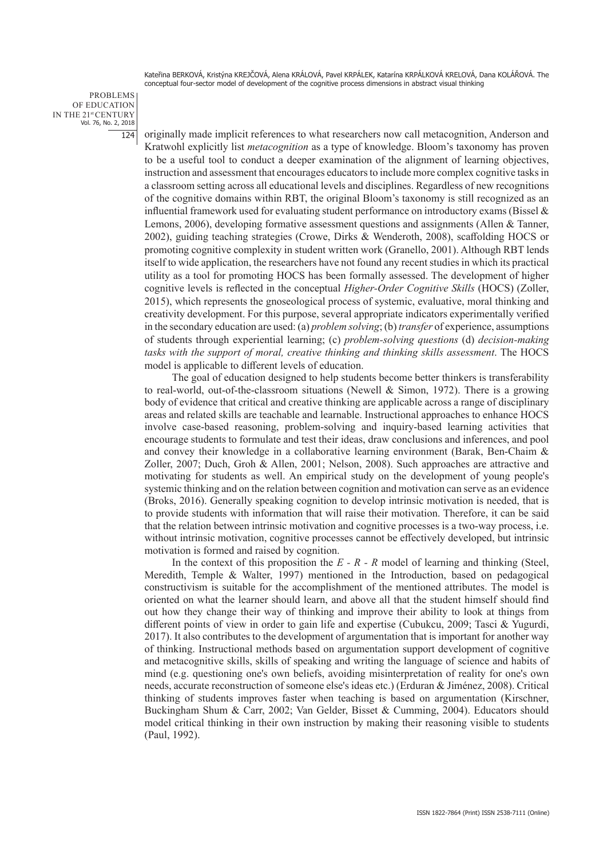PROBLEMS OF EDUCATION IN THE 21st CENTURY Vol. 76, No. 2, 2018 124

originally made implicit references to what researchers now call metacognition, Anderson and Kratwohl explicitly list *metacognition* as a type of knowledge. Bloom's taxonomy has proven to be a useful tool to conduct a deeper examination of the alignment of learning objectives, instruction and assessment that encourages educators to include more complex cognitive tasks in a classroom setting across all educational levels and disciplines. Regardless of new recognitions of the cognitive domains within RBT, the original Bloom's taxonomy is still recognized as an influential framework used for evaluating student performance on introductory exams (Bissel  $\&$ Lemons, 2006), developing formative assessment questions and assignments (Allen & Tanner, 2002), guiding teaching strategies (Crowe, Dirks & Wenderoth, 2008), scaffolding HOCS or promoting cognitive complexity in student written work (Granello, 2001). Although RBT lends itself to wide application, the researchers have not found any recent studies in which its practical utility as a tool for promoting HOCS has been formally assessed. The development of higher cognitive levels is reflected in the conceptual *Higher-Order Cognitive Skills* (HOCS) (Zoller, 2015), which represents the gnoseological process of systemic, evaluative, moral thinking and creativity development. For this purpose, several appropriate indicators experimentally verified in the secondary education are used: (a) *problem solving*; (b) *transfer* of experience, assumptions of students through experiential learning; (c) *problem-solving questions* (d) *decision-making tasks with the support of moral, creative thinking and thinking skills assessment*. The HOCS model is applicable to different levels of education.

The goal of education designed to help students become better thinkers is transferability to real-world, out-of-the-classroom situations (Newell & Simon, 1972). There is a growing body of evidence that critical and creative thinking are applicable across a range of disciplinary areas and related skills are teachable and learnable. Instructional approaches to enhance HOCS involve case-based reasoning, problem-solving and inquiry-based learning activities that encourage students to formulate and test their ideas, draw conclusions and inferences, and pool and convey their knowledge in a collaborative learning environment (Barak, Ben-Chaim & Zoller, 2007; Duch, Groh & Allen, 2001; Nelson, 2008). Such approaches are attractive and motivating for students as well. An empirical study on the development of young people's systemic thinking and on the relation between cognition and motivation can serve as an evidence (Broks, 2016). Generally speaking cognition to develop intrinsic motivation is needed, that is to provide students with information that will raise their motivation. Therefore, it can be said that the relation between intrinsic motivation and cognitive processes is a two-way process, i.e. without intrinsic motivation, cognitive processes cannot be effectively developed, but intrinsic motivation is formed and raised by cognition.

In the context of this proposition the *E - R - R* model of learning and thinking (Steel, Meredith, Temple & Walter, 1997) mentioned in the Introduction, based on pedagogical constructivism is suitable for the accomplishment of the mentioned attributes. The model is oriented on what the learner should learn, and above all that the student himself should find out how they change their way of thinking and improve their ability to look at things from different points of view in order to gain life and expertise (Cubukcu, 2009; Tasci & Yugurdi, 2017). It also contributes to the development of argumentation that is important for another way of thinking. Instructional methods based on argumentation support development of cognitive and metacognitive skills, skills of speaking and writing the language of science and habits of mind (e.g. questioning one's own beliefs, avoiding misinterpretation of reality for one's own needs, accurate reconstruction of someone else's ideas etc.) (Erduran & Jiménez, 2008). Critical thinking of students improves faster when teaching is based on argumentation (Kirschner, Buckingham Shum & Carr, 2002; Van Gelder, Bisset & Cumming, 2004). Educators should model critical thinking in their own instruction by making their reasoning visible to students (Paul, 1992).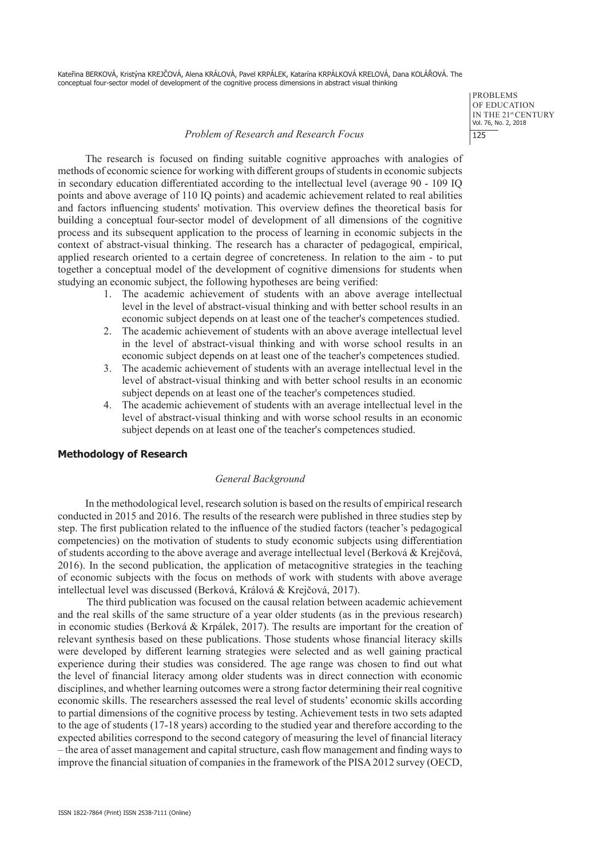> **PROBLEMS** OF EDUCATION IN THE 21st CENTURY Vol. 76, No. 2, 2018 125

#### *Problem of Research and Research Focus*

The research is focused on finding suitable cognitive approaches with analogies of methods of economic science for working with different groups of students in economic subjects in secondary education differentiated according to the intellectual level (average 90 - 109 IQ points and above average of 110 IQ points) and academic achievement related to real abilities and factors influencing students' motivation. This overview defines the theoretical basis for building a conceptual four-sector model of development of all dimensions of the cognitive process and its subsequent application to the process of learning in economic subjects in the context of abstract-visual thinking. The research has a character of pedagogical, empirical, applied research oriented to a certain degree of concreteness. In relation to the aim - to put together a conceptual model of the development of cognitive dimensions for students when studying an economic subject, the following hypotheses are being verified:

- 1. The academic achievement of students with an above average intellectual level in the level of abstract-visual thinking and with better school results in an economic subject depends on at least one of the teacher's competences studied.
- 2. The academic achievement of students with an above average intellectual level in the level of abstract-visual thinking and with worse school results in an economic subject depends on at least one of the teacher's competences studied.
- 3. The academic achievement of students with an average intellectual level in the level of abstract-visual thinking and with better school results in an economic subject depends on at least one of the teacher's competences studied.
- 4. The academic achievement of students with an average intellectual level in the level of abstract-visual thinking and with worse school results in an economic subject depends on at least one of the teacher's competences studied.

### **Methodology of Research**

### *General Background*

In the methodological level, research solution is based on the results of empirical research conducted in 2015 and 2016. The results of the research were published in three studies step by step. The first publication related to the influence of the studied factors (teacher's pedagogical competencies) on the motivation of students to study economic subjects using differentiation of students according to the above average and average intellectual level (Berková & Krejčová, 2016). In the second publication, the application of metacognitive strategies in the teaching of economic subjects with the focus on methods of work with students with above average intellectual level was discussed (Berková, Králová & Krejčová, 2017).

The third publication was focused on the causal relation between academic achievement and the real skills of the same structure of a year older students (as in the previous research) in economic studies (Berková & Krpálek, 2017). The results are important for the creation of relevant synthesis based on these publications. Those students whose financial literacy skills were developed by different learning strategies were selected and as well gaining practical experience during their studies was considered. The age range was chosen to find out what the level of financial literacy among older students was in direct connection with economic disciplines, and whether learning outcomes were a strong factor determining their real cognitive economic skills. The researchers assessed the real level of students' economic skills according to partial dimensions of the cognitive process by testing. Achievement tests in two sets adapted to the age of students (17-18 years) according to the studied year and therefore according to the expected abilities correspond to the second category of measuring the level of financial literacy – the area of asset management and capital structure, cash flow management and finding ways to improve the financial situation of companies in the framework of the PISA 2012 survey (OECD,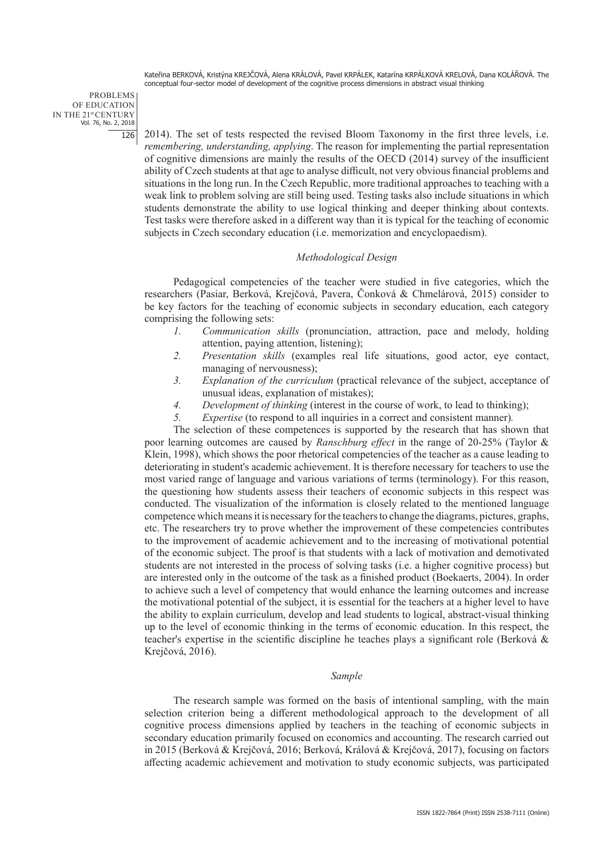PROBLEMS OF EDUCATION IN THE 21st CENTURY Vol. 76, No. 2, 2018 126

2014). The set of tests respected the revised Bloom Taxonomy in the first three levels, i.e. *remembering, understanding, applying*. The reason for implementing the partial representation of cognitive dimensions are mainly the results of the OECD (2014) survey of the insufficient ability of Czech students at that age to analyse difficult, not very obvious financial problems and situations in the long run. In the Czech Republic, more traditional approaches to teaching with a weak link to problem solving are still being used. Testing tasks also include situations in which students demonstrate the ability to use logical thinking and deeper thinking about contexts. Test tasks were therefore asked in a different way than it is typical for the teaching of economic subjects in Czech secondary education (i.e. memorization and encyclopaedism).

### *Methodological Design*

Pedagogical competencies of the teacher were studied in five categories, which the researchers (Pasiar, Berková, Krejčová, Pavera, Čonková & Chmelárová, 2015) consider to be key factors for the teaching of economic subjects in secondary education, each category comprising the following sets:

- *1. Communication skills* (pronunciation, attraction, pace and melody, holding attention, paying attention, listening);
- *2. Presentation skills* (examples real life situations, good actor, eye contact, managing of nervousness);
- *3. Explanation of the curriculum* (practical relevance of the subject, acceptance of unusual ideas, explanation of mistakes);
- *4. Development of thinking* (interest in the course of work, to lead to thinking);
- *5. Expertise* (to respond to all inquiries in a correct and consistent manner)*.*

The selection of these competences is supported by the research that has shown that poor learning outcomes are caused by *Ranschburg effect* in the range of 20-25% (Taylor & Klein, 1998), which shows the poor rhetorical competencies of the teacher as a cause leading to deteriorating in student's academic achievement. It is therefore necessary for teachers to use the most varied range of language and various variations of terms (terminology). For this reason, the questioning how students assess their teachers of economic subjects in this respect was conducted. The visualization of the information is closely related to the mentioned language competence which means it is necessary for the teachers to change the diagrams, pictures, graphs, etc. The researchers try to prove whether the improvement of these competencies contributes to the improvement of academic achievement and to the increasing of motivational potential of the economic subject. The proof is that students with a lack of motivation and demotivated students are not interested in the process of solving tasks (i.e. a higher cognitive process) but are interested only in the outcome of the task as a finished product (Boekaerts, 2004). In order to achieve such a level of competency that would enhance the learning outcomes and increase the motivational potential of the subject, it is essential for the teachers at a higher level to have the ability to explain curriculum, develop and lead students to logical, abstract-visual thinking up to the level of economic thinking in the terms of economic education. In this respect, the teacher's expertise in the scientific discipline he teaches plays a significant role (Berková & Krejčová, 2016).

### *Sample*

The research sample was formed on the basis of intentional sampling, with the main selection criterion being a different methodological approach to the development of all cognitive process dimensions applied by teachers in the teaching of economic subjects in secondary education primarily focused on economics and accounting. The research carried out in 2015 (Berková & Krejčová, 2016; Berková, Králová & Krejčová, 2017), focusing on factors affecting academic achievement and motivation to study economic subjects, was participated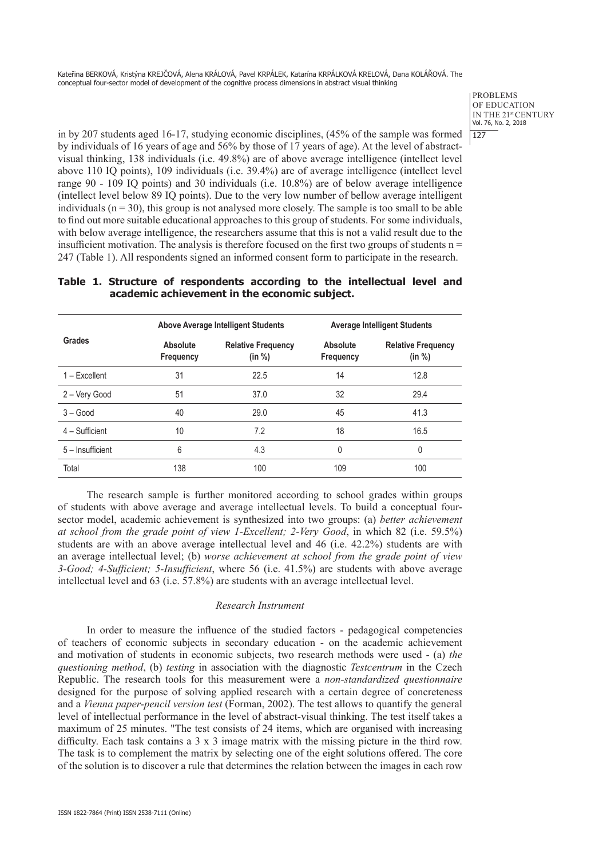> **PROBLEMS** OF EDUCATION IN THE 21st CENTURY Vol. 76, No. 2, 2018  $127$

in by 207 students aged 16-17, studying economic disciplines, (45% of the sample was formed by individuals of 16 years of age and 56% by those of 17 years of age). At the level of abstractvisual thinking, 138 individuals (i.e. 49.8%) are of above average intelligence (intellect level above 110 IQ points), 109 individuals (i.e. 39.4%) are of average intelligence (intellect level range 90 - 109 IQ points) and 30 individuals (i.e. 10.8%) are of below average intelligence (intellect level below 89 IQ points). Due to the very low number of bellow average intelligent individuals  $(n = 30)$ , this group is not analysed more closely. The sample is too small to be able to find out more suitable educational approaches to this group of students. For some individuals, with below average intelligence, the researchers assume that this is not a valid result due to the insufficient motivation. The analysis is therefore focused on the first two groups of students  $n =$ 247 (Table 1). All respondents signed an informed consent form to participate in the research.

|                  |                       | Above Average Intelligent Students  | <b>Average Intelligent Students</b> |                                     |  |
|------------------|-----------------------|-------------------------------------|-------------------------------------|-------------------------------------|--|
| Grades           | Absolute<br>Frequency | <b>Relative Frequency</b><br>(in %) | Absolute<br>Frequency               | <b>Relative Frequency</b><br>(in %) |  |
| $1 -$ Excellent  | 31                    | 22.5                                | 14                                  | 12.8                                |  |
| 2 - Very Good    | 51                    | 37.0                                | 32                                  | 29.4                                |  |
| $3 - Good$       | 40                    | 29.0                                | 45                                  | 41.3                                |  |
| 4 - Sufficient   | 10                    | 7.2                                 | 18                                  | 16.5                                |  |
| 5 - Insufficient | 6                     | 4.3                                 | 0                                   | 0                                   |  |
| Total            | 138                   | 100                                 | 109                                 | 100                                 |  |

### **Table 1. Structure of respondents according to the intellectual level and academic achievement in the economic subject.**

The research sample is further monitored according to school grades within groups of students with above average and average intellectual levels. To build a conceptual foursector model, academic achievement is synthesized into two groups: (a) *better achievement at school from the grade point of view 1-Excellent; 2-Very Good*, in which 82 (i.e. 59.5%) students are with an above average intellectual level and 46 (i.e. 42.2%) students are with an average intellectual level; (b) *worse achievement at school from the grade point of view 3-Good; 4-Sufficient; 5-Insufficient*, where 56 (i.e. 41.5%) are students with above average intellectual level and 63 (i.e. 57.8%) are students with an average intellectual level.

### *Research Instrument*

In order to measure the influence of the studied factors - pedagogical competencies of teachers of economic subjects in secondary education - on the academic achievement and motivation of students in economic subjects, two research methods were used - (a) *the questioning method*, (b) *testing* in association with the diagnostic *Testcentrum* in the Czech Republic. The research tools for this measurement were a *non-standardized questionnaire* designed for the purpose of solving applied research with a certain degree of concreteness and a *Vienna paper-pencil version test* (Forman, 2002). The test allows to quantify the general level of intellectual performance in the level of abstract-visual thinking. The test itself takes a maximum of 25 minutes. "The test consists of 24 items, which are organised with increasing difficulty. Each task contains a  $3 \times 3$  image matrix with the missing picture in the third row. The task is to complement the matrix by selecting one of the eight solutions offered. The core of the solution is to discover a rule that determines the relation between the images in each row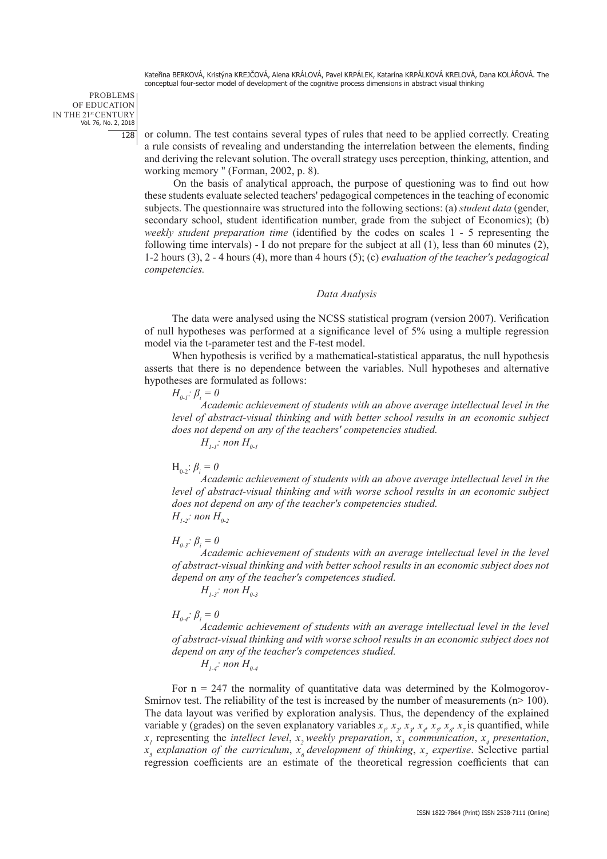#### PROBLEMS OF EDUCATION IN THE 21st CENTURY Vol. 76, No. 2, 2018 128

or column. The test contains several types of rules that need to be applied correctly. Creating a rule consists of revealing and understanding the interrelation between the elements, finding and deriving the relevant solution. The overall strategy uses perception, thinking, attention, and working memory " (Forman, 2002, p. 8).

On the basis of analytical approach, the purpose of questioning was to find out how these students evaluate selected teachers' pedagogical competences in the teaching of economic subjects. The questionnaire was structured into the following sections: (a) *student data* (gender, secondary school, student identification number, grade from the subject of Economics); (b) *weekly student preparation time* (identified by the codes on scales 1 - 5 representing the following time intervals) - I do not prepare for the subject at all (1), less than 60 minutes (2), 1-2 hours (3), 2 - 4 hours (4), more than 4 hours (5); (c) *evaluation of the teacher's pedagogical competencies.*

### *Data Analysis*

The data were analysed using the NCSS statistical program (version 2007). Verification of null hypotheses was performed at a significance level of 5% using a multiple regression model via the t-parameter test and the F-test model.

When hypothesis is verified by a mathematical-statistical apparatus, the null hypothesis asserts that there is no dependence between the variables. Null hypotheses and alternative hypotheses are formulated as follows:

$$
H_{0\text{-}l}\colon \beta_i = 0
$$

*Academic achievement of students with an above average intellectual level in the level of abstract-visual thinking and with better school results in an economic subject does not depend on any of the teachers' competencies studied. H*<sub>1-1</sub>: non  $H_{0-1}$ 

### $H_{0-2}$ :  $β_i = 0$

*Academic achievement of students with an above average intellectual level in the level of abstract-visual thinking and with worse school results in an economic subject does not depend on any of the teacher's competencies studied. H<sub>1-2</sub>*: *non*  $H_{a_2}$ 

## *H*<sub>0-3</sub>**:**  $\beta_i = 0$

<sup>*.</sup>Academic achievement of students with an average intellectual level in the level*</sup> *of abstract-visual thinking and with better school results in an economic subject does not depend on any of the teacher's competences studied.*

*H<sub>1-3</sub>*: *non*  $H_{0.3}$ 

### *H*<sub>0-4</sub>*:*  $\beta_i = 0$

*Academic achievement of students with an average intellectual level in the level of abstract-visual thinking and with worse school results in an economic subject does not depend on any of the teacher's competences studied.*

*H*<sub>1-4</sub>: non  $H_{0-4}$ 

For  $n = 247$  the normality of quantitative data was determined by the Kolmogorov-Smirnov test. The reliability of the test is increased by the number of measurements  $(n > 100)$ . The data layout was verified by exploration analysis. Thus, the dependency of the explained variable y (grades) on the seven explanatory variables  $x_i$ ,  $x_j$ ,  $x_q$ ,  $x_q$ ,  $x_q$ ,  $x_q$ ,  $x_q$  is quantified, while  $x_1$  representing the *intellect level*,  $x_2$  *weekly preparation*,  $x_3$  *communication*,  $x_4$  *presentation*,  $x<sub>5</sub>$  *explanation of the curriculum,*  $x<sub>6</sub>$  *development of thinking,*  $x<sub>7</sub>$  *expertise.* Selective partial regression coefficients are an estimate of the theoretical regression coefficients that can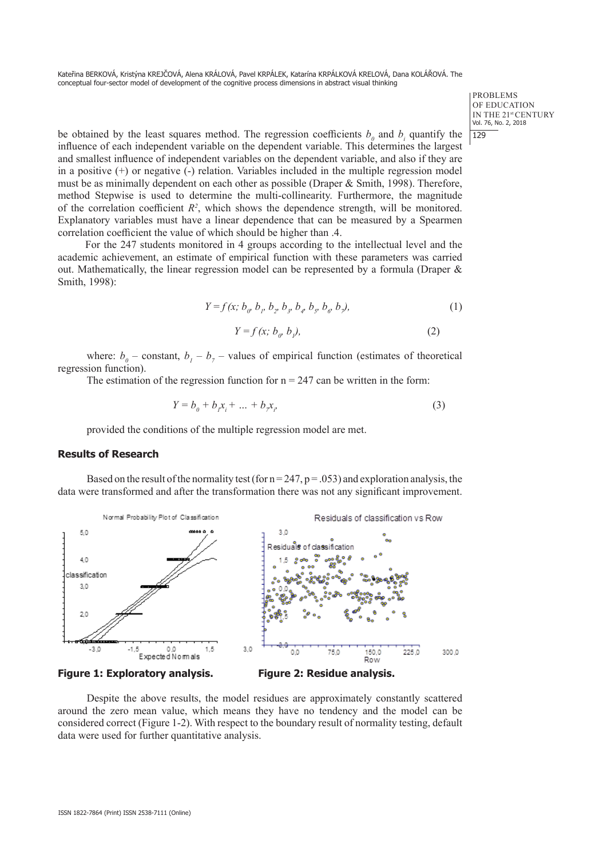> **PROBLEMS** OF EDUCATION IN THE 21st CENTURY Vol. 76, No. 2, 2018  $129$

be obtained by the least squares method. The regression coefficients  $b_0$  and  $b_i$  quantify the influence of each independent variable on the dependent variable. This determines the largest and smallest influence of independent variables on the dependent variable, and also if they are in a positive (+) or negative (-) relation. Variables included in the multiple regression model must be as minimally dependent on each other as possible (Draper & Smith, 1998). Therefore, method Stepwise is used to determine the multi-collinearity. Furthermore, the magnitude of the correlation coefficient  $R^2$ , which shows the dependence strength, will be monitored. Explanatory variables must have a linear dependence that can be measured by a Spearmen correlation coefficient the value of which should be higher than .4.

For the 247 students monitored in 4 groups according to the intellectual level and the academic achievement, an estimate of empirical function with these parameters was carried out. Mathematically, the linear regression model can be represented by a formula (Draper & Smith, 1998):

$$
Y = f(x; b_{\rho}, b_{\rho}, b_{z}, b_{z}, b_{\rho}, b_{z}, b_{\phi}, b_{z}),
$$
 (1)

$$
Y = f(x; b_o, b_i), \tag{2}
$$

where:  $b_0$  – constant,  $b_1 - b_2$  – values of empirical function (estimates of theoretical regression function).

The estimation of the regression function for  $n = 247$  can be written in the form:

$$
Y = b_o + b_i x_i + \dots + b_i x_i
$$
 (3)

provided the conditions of the multiple regression model are met.

### **Results of Research**

Based on the result of the normality test (for  $n = 247$ ,  $p = .053$ ) and exploration analysis, the data were transformed and after the transformation there was not any significant improvement.



Despite the above results, the model residues are approximately constantly scattered around the zero mean value, which means they have no tendency and the model can be considered correct (Figure 1-2). With respect to the boundary result of normality testing, default data were used for further quantitative analysis.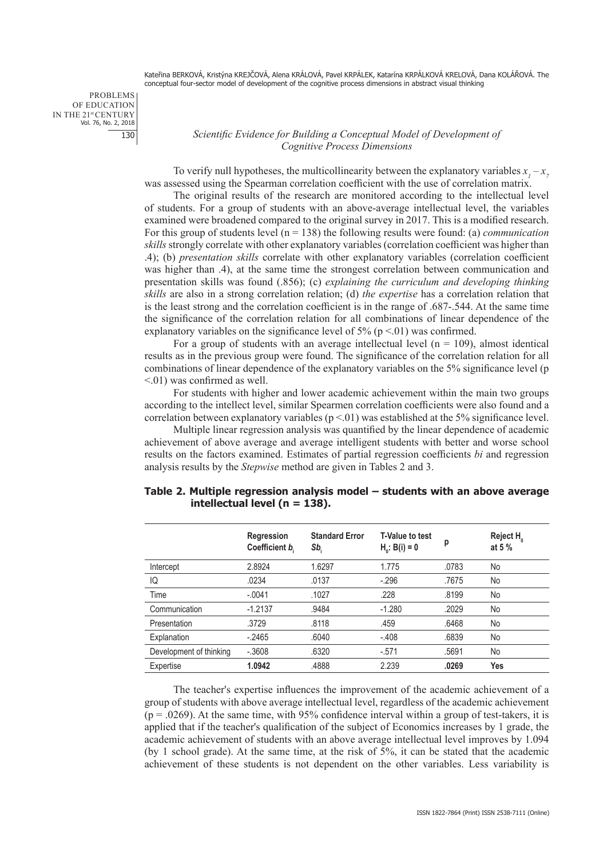PROBLEMS OF EDUCATION IN THE 21st CENTURY Vol. 76, No. 2, 2018 130

### *Scientific Evidence for Building a Conceptual Model of Development of Cognitive Process Dimensions*

To verify null hypotheses, the multicollinearity between the explanatory variables  $x_1 - x_7$ was assessed using the Spearman correlation coefficient with the use of correlation matrix.

The original results of the research are monitored according to the intellectual level of students. For a group of students with an above-average intellectual level, the variables examined were broadened compared to the original survey in 2017. This is a modified research. For this group of students level (n = 138) the following results were found: (a) *communication skills* strongly correlate with other explanatory variables (correlation coefficient was higher than .4); (b) *presentation skills* correlate with other explanatory variables (correlation coefficient was higher than .4), at the same time the strongest correlation between communication and presentation skills was found (.856); (c) *explaining the curriculum and developing thinking skills* are also in a strong correlation relation; (d) *the expertise* has a correlation relation that is the least strong and the correlation coefficient is in the range of .687-.544. At the same time the significance of the correlation relation for all combinations of linear dependence of the explanatory variables on the significance level of  $5\%$  (p <.01) was confirmed.

For a group of students with an average intellectual level  $(n = 109)$ , almost identical results as in the previous group were found. The significance of the correlation relation for all combinations of linear dependence of the explanatory variables on the 5% significance level (p <.01) was confirmed as well.

For students with higher and lower academic achievement within the main two groups according to the intellect level, similar Spearmen correlation coefficients were also found and a correlation between explanatory variables ( $p < 01$ ) was established at the 5% significance level.

Multiple linear regression analysis was quantified by the linear dependence of academic achievement of above average and average intelligent students with better and worse school results on the factors examined. Estimates of partial regression coefficients *bi* and regression analysis results by the *Stepwise* method are given in Tables 2 and 3.

|                         | Regression<br>Coefficient b. | <b>Standard Error</b><br>Sb, | <b>T-Value to test</b><br>$H_0$ : B(i) = 0 | р     | Reject H <sub>n</sub><br>at 5 $%$ |
|-------------------------|------------------------------|------------------------------|--------------------------------------------|-------|-----------------------------------|
| Intercept               | 2.8924                       | 1.6297                       | 1.775                                      | .0783 | No                                |
| IQ                      | .0234                        | .0137                        | $-.296$                                    | .7675 | No                                |
| Time                    | $-.0041$                     | .1027                        | .228                                       | .8199 | No                                |
| Communication           | $-1.2137$                    | .9484                        | $-1.280$                                   | .2029 | No                                |
| Presentation            | .3729                        | .8118                        | .459                                       | .6468 | No                                |
| Explanation             | $-2465$                      | .6040                        | $-.408$                                    | .6839 | No                                |
| Development of thinking | $-.3608$                     | .6320                        | $-.571$                                    | .5691 | No                                |
| Expertise               | 1.0942                       | .4888                        | 2.239                                      | .0269 | <b>Yes</b>                        |

### **Table 2. Multiple regression analysis model – students with an above average intellectual level (n = 138).**

The teacher's expertise influences the improvement of the academic achievement of a group of students with above average intellectual level, regardless of the academic achievement  $(p = .0269)$ . At the same time, with 95% confidence interval within a group of test-takers, it is applied that if the teacher's qualification of the subject of Economics increases by 1 grade, the academic achievement of students with an above average intellectual level improves by 1.094 (by 1 school grade). At the same time, at the risk of 5%, it can be stated that the academic achievement of these students is not dependent on the other variables. Less variability is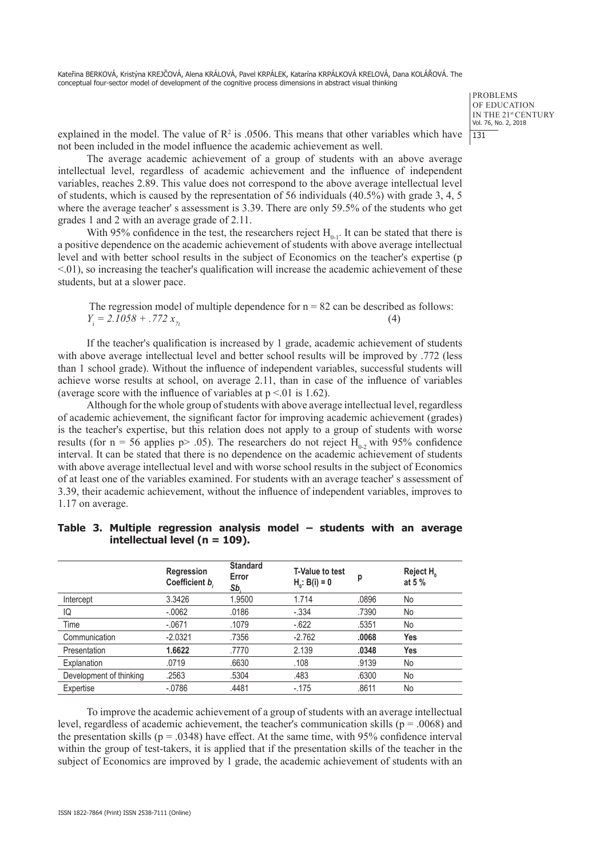> **PROBLEMS** OF EDUCATION IN THE 21st CENTURY Vol. 76, No. 2, 2018 131

explained in the model. The value of  $\mathbb{R}^2$  is .0506. This means that other variables which have not been included in the model influence the academic achievement as well.

The average academic achievement of a group of students with an above average intellectual level, regardless of academic achievement and the influence of independent variables, reaches 2.89. This value does not correspond to the above average intellectual level of students, which is caused by the representation of 56 individuals (40.5%) with grade 3, 4, 5 where the average teacher' s assessment is 3.39. There are only 59.5% of the students who get grades 1 and 2 with an average grade of 2.11.

With 95% confidence in the test, the researchers reject  $H_{0,1}$ . It can be stated that there is a positive dependence on the academic achievement of students with above average intellectual level and with better school results in the subject of Economics on the teacher's expertise (p  $\leq$ .01), so increasing the teacher's qualification will increase the academic achievement of these students, but at a slower pace.

The regression model of multiple dependence for  $n = 82$  can be described as follows:  $Y_i = 2.1058 + .772 x_{7i}$  (4)

If the teacher's qualification is increased by 1 grade, academic achievement of students with above average intellectual level and better school results will be improved by .772 (less than 1 school grade). Without the influence of independent variables, successful students will achieve worse results at school, on average 2.11, than in case of the influence of variables (average score with the influence of variables at  $p < 01$  is 1.62).

Although for the whole group of students with above average intellectual level, regardless of academic achievement, the significant factor for improving academic achievement (grades) is the teacher's expertise, but this relation does not apply to a group of students with worse results (for  $n = 56$  applies p> .05). The researchers do not reject H<sub>02</sub>, with 95% confidence interval. It can be stated that there is no dependence on the academic achievement of students with above average intellectual level and with worse school results in the subject of Economics of at least one of the variables examined. For students with an average teacher' s assessment of 3.39, their academic achievement, without the influence of independent variables, improves to 1.17 on average.

|                         | Regression<br>Coefficient b. | <b>Standard</b><br>Error<br>Sb. | <b>T-Value to test</b><br>$H_n$ : B(i) = 0 | p     | Reject $H_{n}$<br>at 5 $%$ |
|-------------------------|------------------------------|---------------------------------|--------------------------------------------|-------|----------------------------|
| Intercept               | 3.3426                       | 1.9500                          | 1.714                                      | .0896 | No                         |
| IQ                      | $-.0062$                     | .0186                           | $-.334$                                    | .7390 | No                         |
| Time                    | $-.0671$                     | .1079                           | $-622$                                     | .5351 | No                         |
| Communication           | $-2.0321$                    | .7356                           | $-2.762$                                   | .0068 | Yes                        |
| Presentation            | 1.6622                       | .7770                           | 2.139                                      | .0348 | Yes                        |
| Explanation             | .0719                        | .6630                           | .108                                       | .9139 | No                         |
| Development of thinking | .2563                        | .5304                           | .483                                       | .6300 | No                         |
| Expertise               | $-0786$                      | .4481                           | $-175$                                     | .8611 | No                         |

|  | Table 3. Multiple regression analysis model – students with an average |  |  |  |  |
|--|------------------------------------------------------------------------|--|--|--|--|
|  | intellectual level ( $n = 109$ ).                                      |  |  |  |  |

To improve the academic achievement of a group of students with an average intellectual level, regardless of academic achievement, the teacher's communication skills ( $p = .0068$ ) and the presentation skills ( $p = .0348$ ) have effect. At the same time, with 95% confidence interval within the group of test-takers, it is applied that if the presentation skills of the teacher in the subject of Economics are improved by 1 grade, the academic achievement of students with an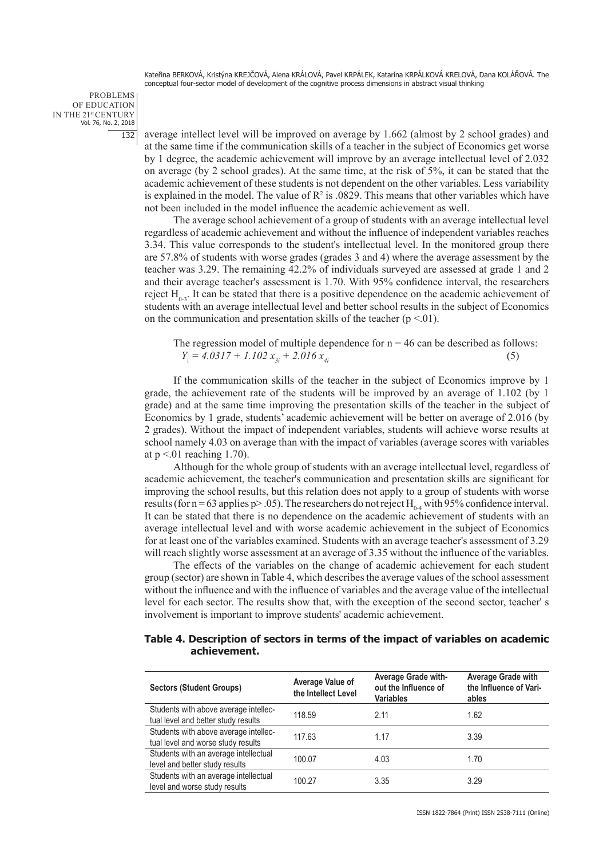PROBLEMS OF EDUCATION IN THE 21st CENTURY Vol. 76, No. 2, 2018 132

average intellect level will be improved on average by 1.662 (almost by 2 school grades) and at the same time if the communication skills of a teacher in the subject of Economics get worse by 1 degree, the academic achievement will improve by an average intellectual level of 2.032 on average (by 2 school grades). At the same time, at the risk of 5%, it can be stated that the academic achievement of these students is not dependent on the other variables. Less variability is explained in the model. The value of  $R^2$  is .0829. This means that other variables which have not been included in the model influence the academic achievement as well.

The average school achievement of a group of students with an average intellectual level regardless of academic achievement and without the influence of independent variables reaches 3.34. This value corresponds to the student's intellectual level. In the monitored group there are 57.8% of students with worse grades (grades 3 and 4) where the average assessment by the teacher was 3.29. The remaining 42.2% of individuals surveyed are assessed at grade 1 and 2 and their average teacher's assessment is 1.70. With 95% confidence interval, the researchers reject  $H_{0,3}$ . It can be stated that there is a positive dependence on the academic achievement of students with an average intellectual level and better school results in the subject of Economics on the communication and presentation skills of the teacher  $(p < 0.01)$ .

The regression model of multiple dependence for  $n = 46$  can be described as follows:  $Y_i = 4.0317 + 1.102 x_{3i} + 2.016 x_{4i}$  (5)

If the communication skills of the teacher in the subject of Economics improve by 1 grade, the achievement rate of the students will be improved by an average of 1.102 (by 1 grade) and at the same time improving the presentation skills of the teacher in the subject of Economics by 1 grade, students' academic achievement will be better on average of 2.016 (by 2 grades). Without the impact of independent variables, students will achieve worse results at school namely 4.03 on average than with the impact of variables (average scores with variables at  $p < 01$  reaching 1.70).

Although for the whole group of students with an average intellectual level, regardless of academic achievement, the teacher's communication and presentation skills are significant for improving the school results, but this relation does not apply to a group of students with worse results (for  $n = 63$  applies p> .05). The researchers do not reject  $H_{0.4}$  with 95% confidence interval. It can be stated that there is no dependence on the academic achievement of students with an average intellectual level and with worse academic achievement in the subject of Economics for at least one of the variables examined. Students with an average teacher's assessment of 3.29 will reach slightly worse assessment at an average of 3.35 without the influence of the variables.

The effects of the variables on the change of academic achievement for each student group (sector) are shown in Table 4, which describes the average values of the school assessment without the influence and with the influence of variables and the average value of the intellectual level for each sector. The results show that, with the exception of the second sector, teacher' s involvement is important to improve students' academic achievement.

### **Table 4. Description of sectors in terms of the impact of variables on academic achievement.**

| <b>Sectors (Student Groups)</b>                                              | Average Value of<br>the Intellect Level | <b>Average Grade with-</b><br>out the Influence of<br><b>Variables</b> | Average Grade with<br>the Influence of Vari-<br>ables |
|------------------------------------------------------------------------------|-----------------------------------------|------------------------------------------------------------------------|-------------------------------------------------------|
| Students with above average intellec-<br>tual level and better study results | 118.59                                  | 2.11                                                                   | 1.62                                                  |
| Students with above average intellec-<br>tual level and worse study results  | 117.63                                  | 1.17                                                                   | 3.39                                                  |
| Students with an average intellectual<br>level and better study results      | 100.07                                  | 4.03                                                                   | 1.70                                                  |
| Students with an average intellectual<br>level and worse study results       | 100.27                                  | 3.35                                                                   | 3.29                                                  |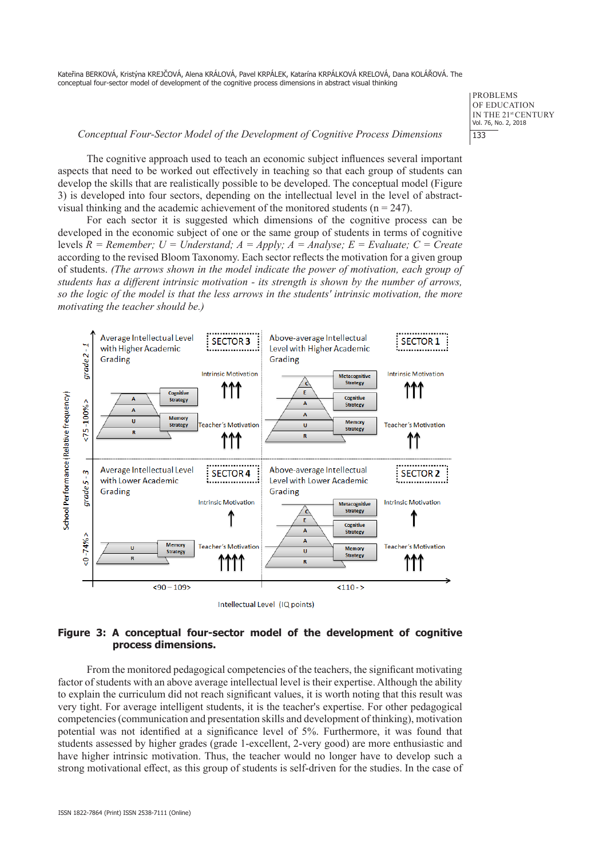> **PROBLEMS** OF EDUCATION IN THE 21st CENTURY Vol. 76, No. 2, 2018 133

#### *Conceptual Four-Sector Model of the Development of Cognitive Process Dimensions*

The cognitive approach used to teach an economic subject influences several important aspects that need to be worked out effectively in teaching so that each group of students can develop the skills that are realistically possible to be developed. The conceptual model (Figure 3) is developed into four sectors, depending on the intellectual level in the level of abstractvisual thinking and the academic achievement of the monitored students ( $n = 247$ ).

For each sector it is suggested which dimensions of the cognitive process can be developed in the economic subject of one or the same group of students in terms of cognitive levels *R = Remember; U = Understand; A = Apply; A = Analyse; E = Evaluate; C = Create* according to the revised Bloom Taxonomy. Each sector reflects the motivation for a given group of students. *(The arrows shown in the model indicate the power of motivation, each group of students has a different intrinsic motivation - its strength is shown by the number of arrows, so the logic of the model is that the less arrows in the students' intrinsic motivation, the more motivating the teacher should be.)*



### **Figure 3: A conceptual four-sector model of the development of cognitive process dimensions.**

From the monitored pedagogical competencies of the teachers, the significant motivating factor of students with an above average intellectual level is their expertise. Although the ability to explain the curriculum did not reach significant values, it is worth noting that this result was very tight. For average intelligent students, it is the teacher's expertise. For other pedagogical competencies (communication and presentation skills and development of thinking), motivation potential was not identified at a significance level of 5%. Furthermore, it was found that students assessed by higher grades (grade 1-excellent, 2-very good) are more enthusiastic and have higher intrinsic motivation. Thus, the teacher would no longer have to develop such a strong motivational effect, as this group of students is self-driven for the studies. In the case of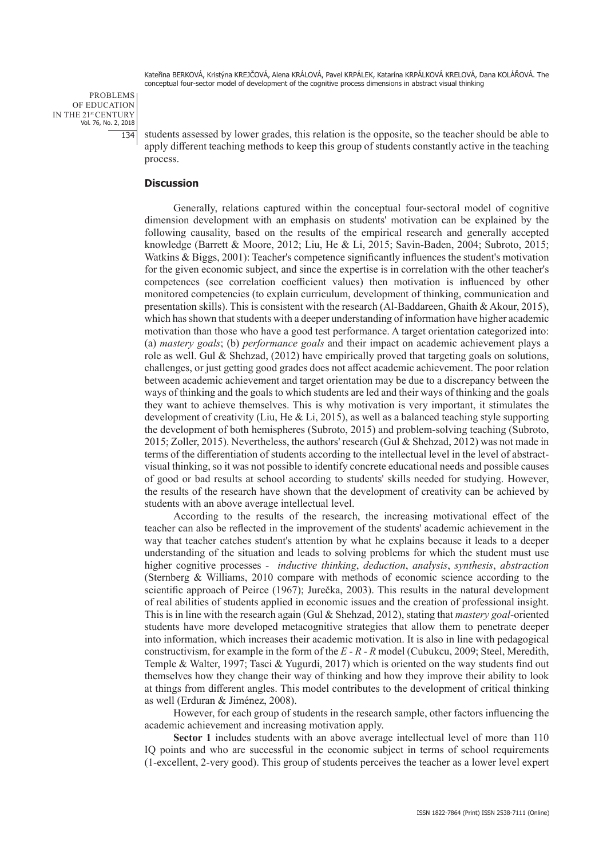PROBLEMS OF EDUCATION IN THE 21st CENTURY Vol. 76, No. 2, 2018 134

students assessed by lower grades, this relation is the opposite, so the teacher should be able to apply different teaching methods to keep this group of students constantly active in the teaching process.

### **Discussion**

Generally, relations captured within the conceptual four-sectoral model of cognitive dimension development with an emphasis on students' motivation can be explained by the following causality, based on the results of the empirical research and generally accepted knowledge (Barrett & Moore, 2012; Liu, He & Li, 2015; Savin-Baden, 2004; Subroto, 2015; Watkins & Biggs, 2001): Teacher's competence significantly influences the student's motivation for the given economic subject, and since the expertise is in correlation with the other teacher's competences (see correlation coefficient values) then motivation is influenced by other monitored competencies (to explain curriculum, development of thinking, communication and presentation skills). This is consistent with the research (Al-Baddareen, Ghaith & Akour, 2015), which has shown that students with a deeper understanding of information have higher academic motivation than those who have a good test performance. A target orientation categorized into: (a) *mastery goals*; (b) *performance goals* and their impact on academic achievement plays a role as well. Gul & Shehzad,  $(2012)$  have empirically proved that targeting goals on solutions, challenges, or just getting good grades does not affect academic achievement. The poor relation between academic achievement and target orientation may be due to a discrepancy between the ways of thinking and the goals to which students are led and their ways of thinking and the goals they want to achieve themselves. This is why motivation is very important, it stimulates the development of creativity (Liu, He & Li, 2015), as well as a balanced teaching style supporting the development of both hemispheres (Subroto, 2015) and problem-solving teaching (Subroto, 2015; Zoller, 2015). Nevertheless, the authors' research (Gul & Shehzad, 2012) was not made in terms of the differentiation of students according to the intellectual level in the level of abstractvisual thinking, so it was not possible to identify concrete educational needs and possible causes of good or bad results at school according to students' skills needed for studying. However, the results of the research have shown that the development of creativity can be achieved by students with an above average intellectual level.

According to the results of the research, the increasing motivational effect of the teacher can also be reflected in the improvement of the students' academic achievement in the way that teacher catches student's attention by what he explains because it leads to a deeper understanding of the situation and leads to solving problems for which the student must use higher cognitive processes - *inductive thinking*, *deduction*, *analysis*, *synthesis*, *abstraction* (Sternberg & Williams, 2010 compare with methods of economic science according to the scientific approach of Peirce (1967); Jurečka, 2003). This results in the natural development of real abilities of students applied in economic issues and the creation of professional insight. This is in line with the research again (Gul & Shehzad, 2012), stating that *mastery goal-*oriented students have more developed metacognitive strategies that allow them to penetrate deeper into information, which increases their academic motivation. It is also in line with pedagogical constructivism, for example in the form of the *E - R - R* model (Cubukcu, 2009; Steel, Meredith, Temple & Walter, 1997; Tasci & Yugurdi, 2017) which is oriented on the way students find out themselves how they change their way of thinking and how they improve their ability to look at things from different angles. This model contributes to the development of critical thinking as well (Erduran & Jiménez, 2008).

However, for each group of students in the research sample, other factors influencing the academic achievement and increasing motivation apply.

**Sector 1** includes students with an above average intellectual level of more than 110 IQ points and who are successful in the economic subject in terms of school requirements (1-excellent, 2-very good). This group of students perceives the teacher as a lower level expert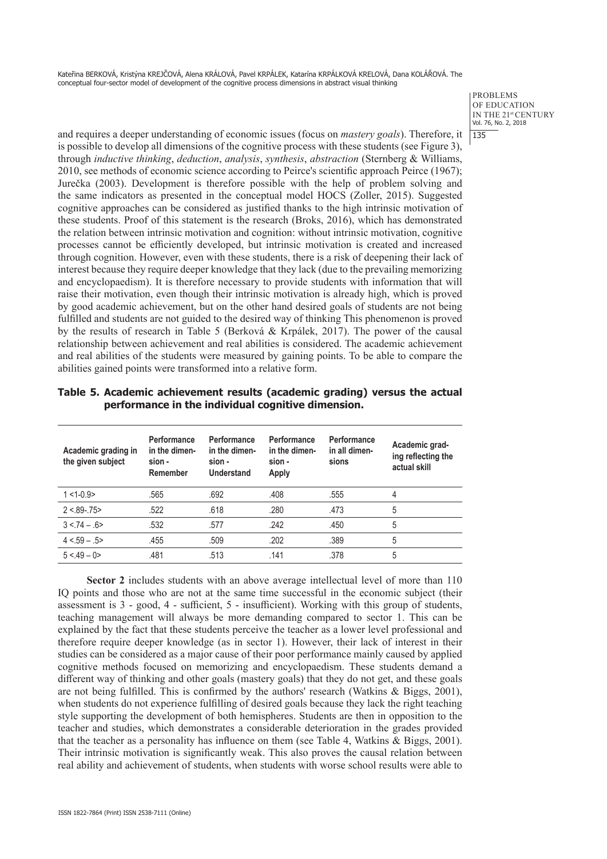> **PROBLEMS** OF EDUCATION IN THE 21st CENTURY Vol. 76, No. 2, 2018 135

and requires a deeper understanding of economic issues (focus on *mastery goals*). Therefore, it is possible to develop all dimensions of the cognitive process with these students (see Figure 3), through *inductive thinking*, *deduction*, *analysis*, *synthesis*, *abstraction* (Sternberg & Williams, 2010, see methods of economic science according to Peirce's scientific approach Peirce (1967); Jurečka (2003). Development is therefore possible with the help of problem solving and the same indicators as presented in the conceptual model HOCS (Zoller, 2015). Suggested cognitive approaches can be considered as justified thanks to the high intrinsic motivation of these students. Proof of this statement is the research (Broks, 2016), which has demonstrated the relation between intrinsic motivation and cognition: without intrinsic motivation, cognitive processes cannot be efficiently developed, but intrinsic motivation is created and increased through cognition. However, even with these students, there is a risk of deepening their lack of interest because they require deeper knowledge that they lack (due to the prevailing memorizing and encyclopaedism). It is therefore necessary to provide students with information that will raise their motivation, even though their intrinsic motivation is already high, which is proved by good academic achievement, but on the other hand desired goals of students are not being fulfilled and students are not guided to the desired way of thinking This phenomenon is proved by the results of research in Table 5 (Berková & Krpálek, 2017). The power of the causal relationship between achievement and real abilities is considered. The academic achievement and real abilities of the students were measured by gaining points. To be able to compare the abilities gained points were transformed into a relative form.

#### **Academic grading in the given subject Performance in the dimension - Remember Performance in the dimension - Understand Performance in the dimension - Apply Performance in all dimensions Academic grading reflecting the actual skill** 1 <1-0.9> .565 .692 .408 .555 4 2 < 89-.75> .522 .618 .280 .280 .473 .52  $3 < 74 - .6$  .532 .577 .242 .450 .57 4 <.59 – .5> .455 .509 .202 .389 5 5 < 49 – 0> .481 .513 .513 .378 .578 .513

### **Table 5. Academic achievement results (academic grading) versus the actual performance in the individual cognitive dimension.**

**Sector 2** includes students with an above average intellectual level of more than 110 IQ points and those who are not at the same time successful in the economic subject (their assessment is 3 - good, 4 - sufficient, 5 - insufficient). Working with this group of students, teaching management will always be more demanding compared to sector 1. This can be explained by the fact that these students perceive the teacher as a lower level professional and therefore require deeper knowledge (as in sector 1). However, their lack of interest in their studies can be considered as a major cause of their poor performance mainly caused by applied cognitive methods focused on memorizing and encyclopaedism. These students demand a different way of thinking and other goals (mastery goals) that they do not get, and these goals are not being fulfilled. This is confirmed by the authors' research (Watkins & Biggs, 2001), when students do not experience fulfilling of desired goals because they lack the right teaching style supporting the development of both hemispheres. Students are then in opposition to the teacher and studies, which demonstrates a considerable deterioration in the grades provided that the teacher as a personality has influence on them (see Table 4, Watkins & Biggs, 2001). Their intrinsic motivation is significantly weak. This also proves the causal relation between real ability and achievement of students, when students with worse school results were able to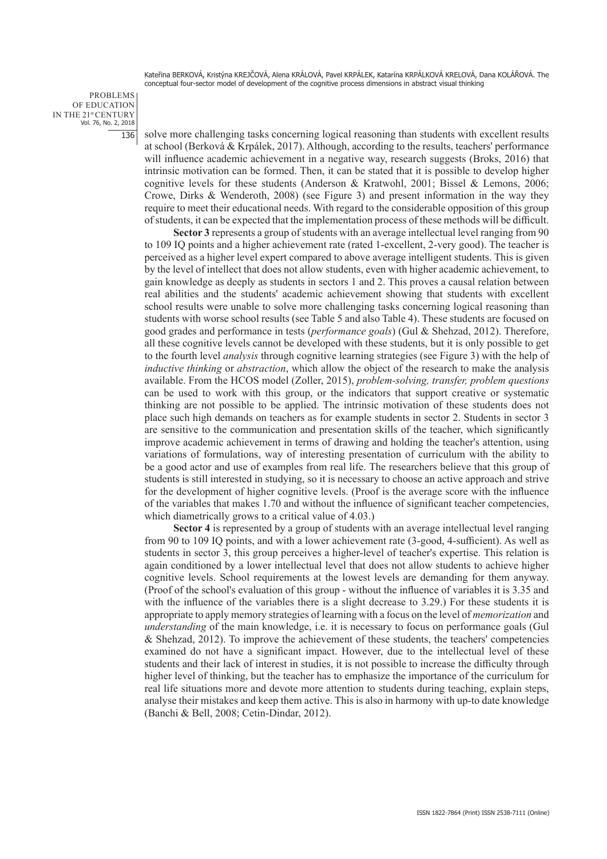PROBLEMS OF EDUCATION IN THE 21st CENTURY Vol. 76, No. 2, 2018 136

solve more challenging tasks concerning logical reasoning than students with excellent results at school (Berková & Krpálek, 2017). Although, according to the results, teachers' performance will influence academic achievement in a negative way, research suggests (Broks, 2016) that intrinsic motivation can be formed. Then, it can be stated that it is possible to develop higher cognitive levels for these students (Anderson & Kratwohl, 2001; Bissel & Lemons, 2006; Crowe, Dirks & Wenderoth, 2008) (see Figure 3) and present information in the way they require to meet their educational needs. With regard to the considerable opposition of this group of students, it can be expected that the implementation process of these methods will be difficult.

**Sector 3** represents a group of students with an average intellectual level ranging from 90 to 109 IQ points and a higher achievement rate (rated 1-excellent, 2-very good). The teacher is perceived as a higher level expert compared to above average intelligent students. This is given by the level of intellect that does not allow students, even with higher academic achievement, to gain knowledge as deeply as students in sectors 1 and 2. This proves a causal relation between real abilities and the students' academic achievement showing that students with excellent school results were unable to solve more challenging tasks concerning logical reasoning than students with worse school results (see Table 5 and also Table 4). These students are focused on good grades and performance in tests (*performance goals*) (Gul & Shehzad, 2012). Therefore, all these cognitive levels cannot be developed with these students, but it is only possible to get to the fourth level *analysis* through cognitive learning strategies (see Figure 3) with the help of *inductive thinking* or *abstraction*, which allow the object of the research to make the analysis available. From the HCOS model (Zoller, 2015), *problem-solving, transfer, problem questions*  can be used to work with this group, or the indicators that support creative or systematic thinking are not possible to be applied. The intrinsic motivation of these students does not place such high demands on teachers as for example students in sector 2. Students in sector 3 are sensitive to the communication and presentation skills of the teacher, which significantly improve academic achievement in terms of drawing and holding the teacher's attention, using variations of formulations, way of interesting presentation of curriculum with the ability to be a good actor and use of examples from real life. The researchers believe that this group of students is still interested in studying, so it is necessary to choose an active approach and strive for the development of higher cognitive levels. (Proof is the average score with the influence of the variables that makes 1.70 and without the influence of significant teacher competencies, which diametrically grows to a critical value of 4.03.)

**Sector 4** is represented by a group of students with an average intellectual level ranging from 90 to 109 IQ points, and with a lower achievement rate (3-good, 4-sufficient). As well as students in sector 3, this group perceives a higher-level of teacher's expertise. This relation is again conditioned by a lower intellectual level that does not allow students to achieve higher cognitive levels. School requirements at the lowest levels are demanding for them anyway. (Proof of the school's evaluation of this group - without the influence of variables it is 3.35 and with the influence of the variables there is a slight decrease to 3.29.) For these students it is appropriate to apply memory strategies of learning with a focus on the level of *memorization* and *understanding* of the main knowledge, i.e. it is necessary to focus on performance goals (Gul & Shehzad, 2012). To improve the achievement of these students, the teachers' competencies examined do not have a significant impact. However, due to the intellectual level of these students and their lack of interest in studies, it is not possible to increase the difficulty through higher level of thinking, but the teacher has to emphasize the importance of the curriculum for real life situations more and devote more attention to students during teaching, explain steps, analyse their mistakes and keep them active. This is also in harmony with up-to date knowledge (Banchi & Bell, 2008; Cetin-Dindar, 2012).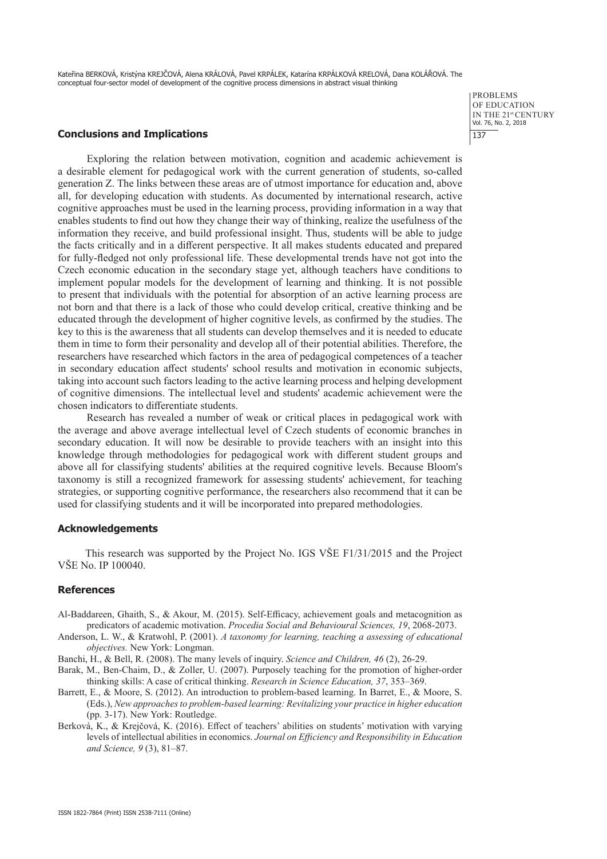> **PROBLEMS** OF EDUCATION IN THE 21st CENTURY Vol. 76, No. 2, 2018 137

### **Conclusions and Implications**

Exploring the relation between motivation, cognition and academic achievement is a desirable element for pedagogical work with the current generation of students, so-called generation Z. The links between these areas are of utmost importance for education and, above all, for developing education with students. As documented by international research, active cognitive approaches must be used in the learning process, providing information in a way that enables students to find out how they change their way of thinking, realize the usefulness of the information they receive, and build professional insight. Thus, students will be able to judge the facts critically and in a different perspective. It all makes students educated and prepared for fully-fledged not only professional life. These developmental trends have not got into the Czech economic education in the secondary stage yet, although teachers have conditions to implement popular models for the development of learning and thinking. It is not possible to present that individuals with the potential for absorption of an active learning process are not born and that there is a lack of those who could develop critical, creative thinking and be educated through the development of higher cognitive levels, as confirmed by the studies. The key to this is the awareness that all students can develop themselves and it is needed to educate them in time to form their personality and develop all of their potential abilities. Therefore, the researchers have researched which factors in the area of pedagogical competences of a teacher in secondary education affect students' school results and motivation in economic subjects, taking into account such factors leading to the active learning process and helping development of cognitive dimensions. The intellectual level and students' academic achievement were the chosen indicators to differentiate students.

Research has revealed a number of weak or critical places in pedagogical work with the average and above average intellectual level of Czech students of economic branches in secondary education. It will now be desirable to provide teachers with an insight into this knowledge through methodologies for pedagogical work with different student groups and above all for classifying students' abilities at the required cognitive levels. Because Bloom's taxonomy is still a recognized framework for assessing students' achievement, for teaching strategies, or supporting cognitive performance, the researchers also recommend that it can be used for classifying students and it will be incorporated into prepared methodologies.

### **Acknowledgements**

This research was supported by the Project No. IGS VŠE F1/31/2015 and the Project VŠE No. IP 100040.

### **References**

- Al-Baddareen, Ghaith, S., & Akour, M. (2015). Self-Efficacy, achievement goals and metacognition as predicators of academic motivation. *Procedia Social and Behavioural Sciences, 19*, 2068-2073.
- Anderson, L. W., & Kratwohl, P. (2001). *A taxonomy for learning, teaching a assessing of educational objectives.* New York: Longman.
- Banchi, H., & Bell, R. (2008). The many levels of inquiry. *Science and Children, 46* (2), 26-29.
- Barak, M., Ben-Chaim, D., & Zoller, U. (2007). Purposely teaching for the promotion of higher-order thinking skills: A case of critical thinking. *Research in Science Education, 37*, 353–369.
- Barrett, E., & Moore, S. (2012). An introduction to problem-based learning. In Barret, E., & Moore, S. (Eds.), *New approaches to problem-based learning: Revitalizing your practice in higher education* (pp. 3-17). New York: Routledge.
- Berková, K., & Krejčová, K. (2016). Effect of teachers' abilities on students' motivation with varying levels of intellectual abilities in economics. *Journal on Efficiency and Responsibility in Education and Science, 9* (3), 81–87.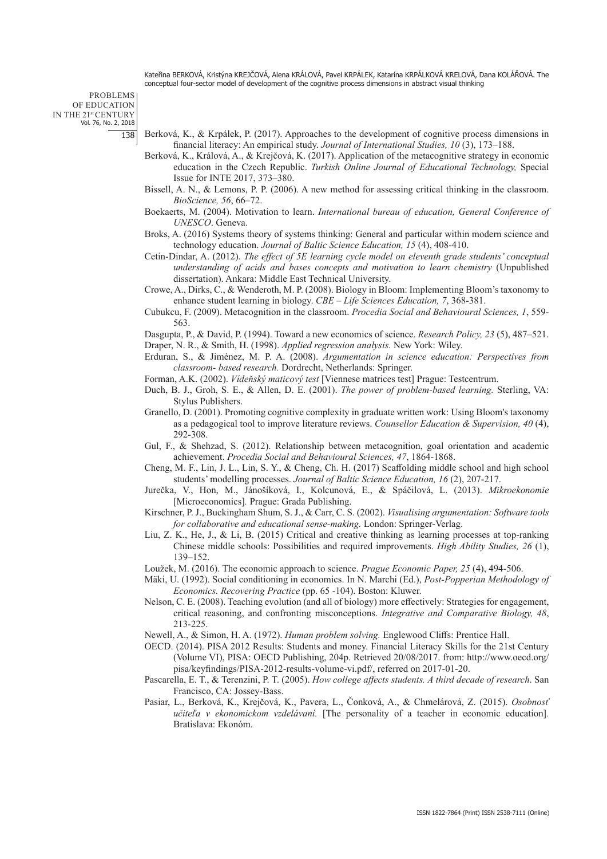PROBLEMS OF EDUCATION IN THE 21st CENTURY Vol. 76, No. 2, 2018 138

- Berková, K., & Krpálek, P. (2017). Approaches to the development of cognitive process dimensions in financial literacy: An empirical study. *Journal of International Studies, 10* (3), 173–188.
- Berková, K., Králová, A., & Krejčová, K. (2017). Application of the metacognitive strategy in economic education in the Czech Republic. *Turkish Online Journal of Educational Technology,* Special Issue for INTE 2017, 373–380.
- Bissell, A. N., & Lemons, P. P. (2006). A new method for assessing critical thinking in the classroom. *BioScience, 56*, 66–72.
- Boekaerts, M. (2004). Motivation to learn. *International bureau of education, General Conference of UNESCO*. Geneva.
- Broks, A. (2016) Systems theory of systems thinking: General and particular within modern science and technology education. *Journal of Baltic Science Education, 15* (4), 408-410.
- Cetin-Dindar, A. (2012). *The effect of 5E learning cycle model on eleventh grade students' conceptual understanding of acids and bases concepts and motivation to learn chemistry* (Unpublished dissertation). Ankara: Middle East Technical University.
- Crowe, A., Dirks, C., & Wenderoth, M. P. (2008). Biology in Bloom: Implementing Bloom's taxonomy to enhance student learning in biology. *CBE – Life Sciences Education, 7*, 368-381.
- Cubukcu, F. (2009). Metacognition in the classroom. *Procedia Social and Behavioural Sciences, 1*, 559- 563.
- Dasgupta, P., & David, P. (1994). Toward a new economics of science. *Research Policy, 23* (5), 487–521.
- Draper, N. R., & Smith, H. (1998). *Applied regression analysis.* New York: Wiley.
- Erduran, S., & Jiménez, M. P. A. (2008). *Argumentation in science education: Perspectives from classroom- based research.* Dordrecht, Netherlands: Springer.
- Forman, A.K. (2002). *Vídeňský maticový test* [Viennese matrices test] Prague: Testcentrum.
- Duch, B. J., Groh, S. E., & Allen, D. E. (2001). *The power of problem-based learning.* Sterling, VA: Stylus Publishers.
- Granello, D. (2001). Promoting cognitive complexity in graduate written work: Using Bloom's taxonomy as a pedagogical tool to improve literature reviews. *Counsellor Education & Supervision, 40* (4), 292-308.
- Gul, F., & Shehzad, S. (2012). Relationship between metacognition, goal orientation and academic achievement. *Procedia Social and Behavioural Sciences, 47*, 1864-1868.
- Cheng, M. F., Lin, J. L., Lin, S. Y., & Cheng, Ch. H. (2017) Scaffolding middle school and high school students' modelling processes. *Journal of Baltic Science Education, 16* (2), 207-217.
- Jurečka, V., Hon, M., Jánošíková, I., Kolcunová, E., & Spáčilová, L. (2013). *Mikroekonomie*  [Microeconomics]*.* Prague: Grada Publishing.
- Kirschner, P. J., Buckingham Shum, S. J., & Carr, C. S. (2002). *Visualising argumentation: Software tools for collaborative and educational sense-making.* London: Springer-Verlag.
- Liu, Z. K., He, J., & Li, B. (2015) Critical and creative thinking as learning processes at top-ranking Chinese middle schools: Possibilities and required improvements. *High Ability Studies, 26* (1), 139–152.
- Loužek, M. (2016). The economic approach to science. *Prague Economic Paper, 25* (4), 494-506.
- Mäki, U. (1992). Social conditioning in economics. In N. Marchi (Ed.), *Post-Popperian Methodology of Economics. Recovering Practice* (pp. 65 -104). Boston: Kluwer.
- Nelson, C. E. (2008). Teaching evolution (and all of biology) more effectively: Strategies for engagement, critical reasoning, and confronting misconceptions. *Integrative and Comparative Biology, 48*, 213-225.
- Newell, A., & Simon, H. A. (1972). *Human problem solving.* Englewood Cliffs: Prentice Hall.
- OECD. (2014). PISA 2012 Results: Students and money. Financial Literacy Skills for the 21st Century (Volume VI), PISA: OECD Publishing, 204p. Retrieved 20/08/2017. from: http://www.oecd.org/ pisa/keyfindings/PISA-2012-results-volume-vi.pdf/, referred on 2017-01-20.
- Pascarella, E. T., & Terenzini, P. T. (2005). *How college affects students. A third decade of research*. San Francisco, CA: Jossey-Bass.
- Pasiar, L., Berková, K., Krejčová, K., Pavera, L., Čonková, A., & Chmelárová, Z. (2015). *Osobnosť učiteľa v ekonomickom vzdelávaní.* [The personality of a teacher in economic education]*.* Bratislava: Ekonóm.